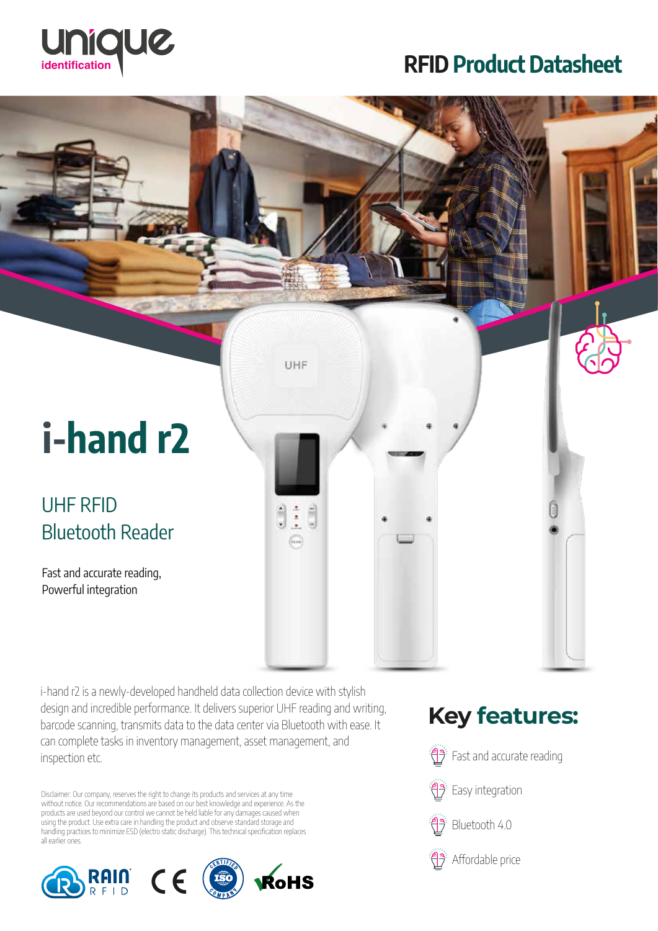

# RFID Product Datasheet



i-hand r2 is a newly-developed handheld data collection device with stylish design and incredible performance. It delivers superior UHF reading and writing, barcode scanning, transmits data to the data center via Bluetooth with ease. It can complete tasks in inventory management, asset management, and inspection etc.

Disclaimer: Our company, reserves the right to change its products and services at any time without notice. Our recommendations are based on our best knowledge and experience. As the products are used beyond our control we cannot be held liable for any damages caused when using the product. Use extra care in handling the product and observe standard storage and handling practices to minimize ESD (electro static discharge). This technical specification replaces all earlier ones.



## **Key features:**

Fast and accurate reading

Easy integration

Bluetooth 4.0



Affordable price